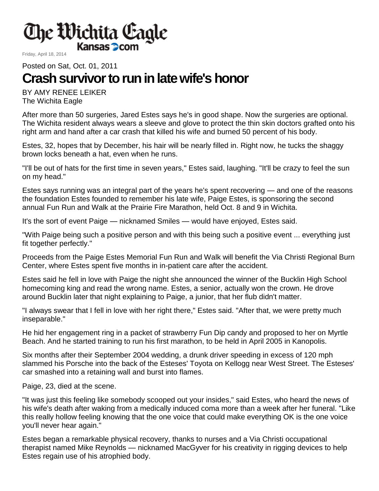

Friday, April 18, 2014

Posted on Sat, Oct. 01, 2011

## **Crash survivor to run in late wife's honor**

BY AMY RENEE LEIKER The Wichita Eagle

After more than 50 surgeries, Jared Estes says he's in good shape. Now the surgeries are optional. The Wichita resident always wears a sleeve and glove to protect the thin skin doctors grafted onto his right arm and hand after a car crash that killed his wife and burned 50 percent of his body.

Estes, 32, hopes that by December, his hair will be nearly filled in. Right now, he tucks the shaggy brown locks beneath a hat, even when he runs.

"I'll be out of hats for the first time in seven years," Estes said, laughing. "It'll be crazy to feel the sun on my head."

Estes says running was an integral part of the years he's spent recovering — and one of the reasons the foundation Estes founded to remember his late wife, Paige Estes, is sponsoring the second annual Fun Run and Walk at the Prairie Fire Marathon, held Oct. 8 and 9 in Wichita.

It's the sort of event Paige — nicknamed Smiles — would have enjoyed, Estes said.

"With Paige being such a positive person and with this being such a positive event ... everything just fit together perfectly."

Proceeds from the Paige Estes Memorial Fun Run and Walk will benefit the Via Christi Regional Burn Center, where Estes spent five months in in-patient care after the accident.

Estes said he fell in love with Paige the night she announced the winner of the Bucklin High School homecoming king and read the wrong name. Estes, a senior, actually won the crown. He drove around Bucklin later that night explaining to Paige, a junior, that her flub didn't matter.

"I always swear that I fell in love with her right there," Estes said. "After that, we were pretty much inseparable."

He hid her engagement ring in a packet of strawberry Fun Dip candy and proposed to her on Myrtle Beach. And he started training to run his first marathon, to be held in April 2005 in Kanopolis.

Six months after their September 2004 wedding, a drunk driver speeding in excess of 120 mph slammed his Porsche into the back of the Esteses' Toyota on Kellogg near West Street. The Esteses' car smashed into a retaining wall and burst into flames.

Paige, 23, died at the scene.

"It was just this feeling like somebody scooped out your insides," said Estes, who heard the news of his wife's death after waking from a medically induced coma more than a week after her funeral. "Like this really hollow feeling knowing that the one voice that could make everything OK is the one voice you'll never hear again."

Estes began a remarkable physical recovery, thanks to nurses and a Via Christi occupational therapist named Mike Reynolds — nicknamed MacGyver for his creativity in rigging devices to help Estes regain use of his atrophied body.